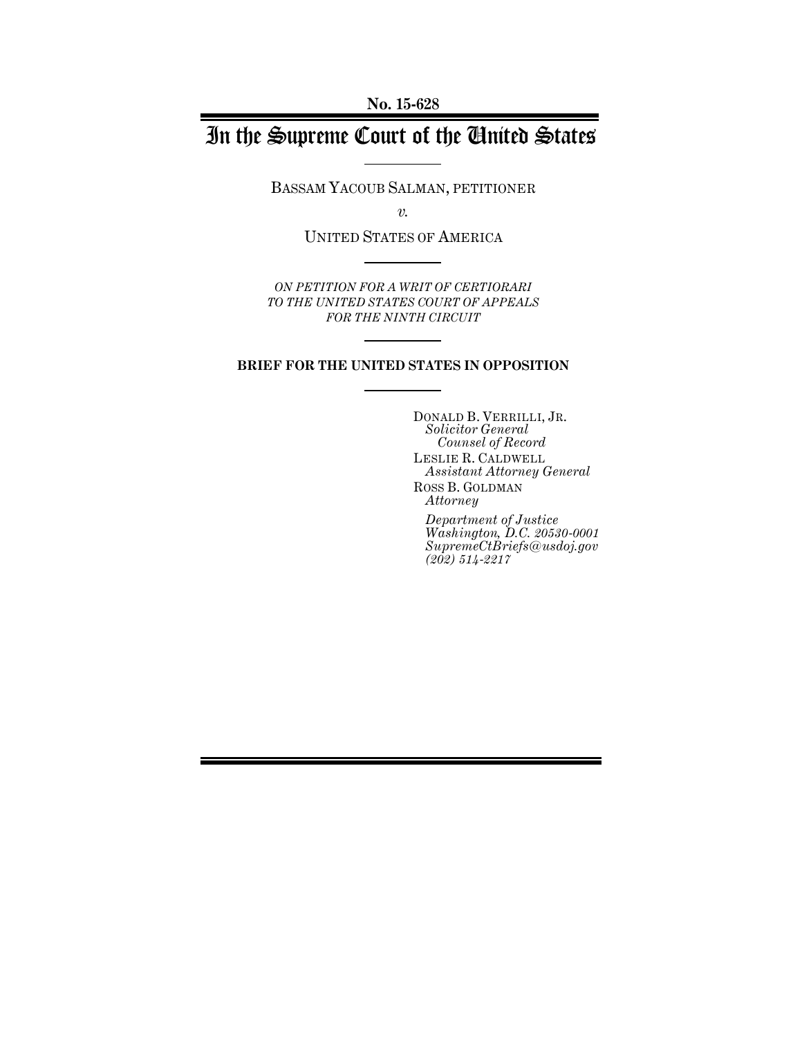# In the Supreme Court of the United States

BASSAM YACOUB SALMAN, PETITIONER

*v.*

UNITED STATES OF AMERICA

*ON PETITION FOR A WRIT OF CERTIORARI TO THE UNITED STATES COURT OF APPEALS FOR THE NINTH CIRCUIT*

#### **BRIEF FOR THE UNITED STATES IN OPPOSITION**

DONALD B. VERRILLI, JR. *Solicitor General Counsel of Record* LESLIE R. CALDWELL *Assistant Attorney General* ROSS B. GOLDMAN *Attorney Department of Justice Washington, D.C. 20530-0001 SupremeCtBriefs@usdoj.gov (202) 514-2217*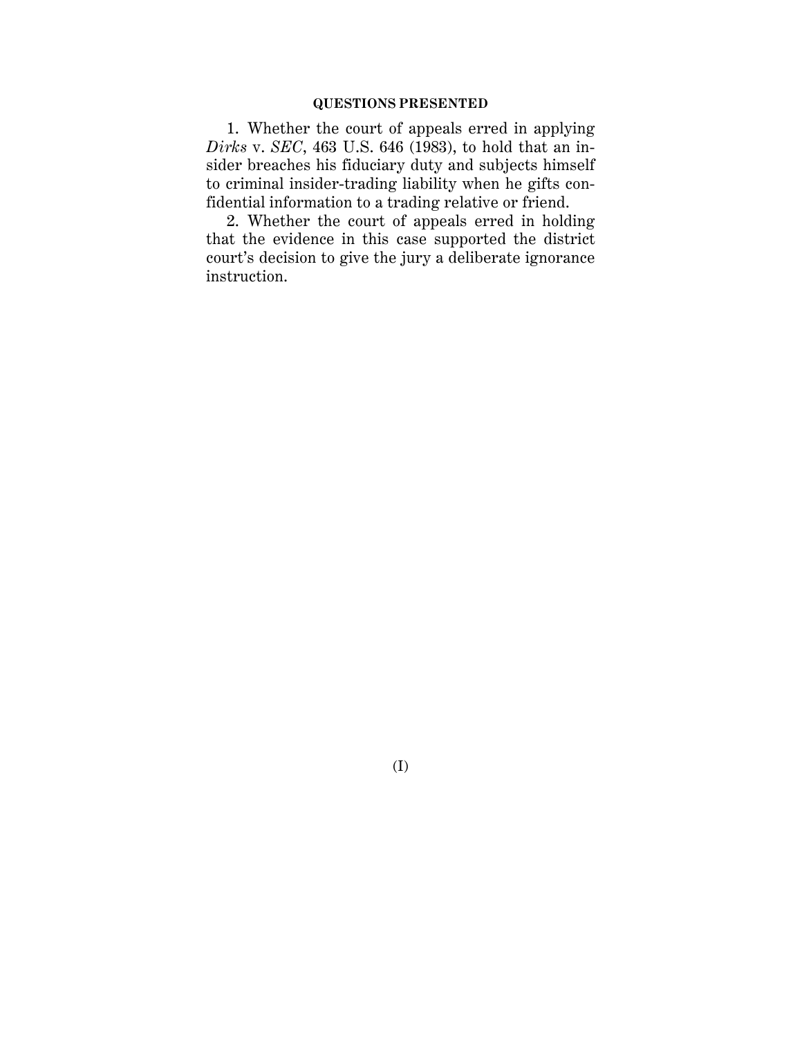1. Whether the court of appeals erred in applying *Dirks* v. *SEC*, 463 U.S. 646 (1983), to hold that an insider breaches his fiduciary duty and subjects himself to criminal insider-trading liability when he gifts confidential information to a trading relative or friend.

2. Whether the court of appeals erred in holding that the evidence in this case supported the district court's decision to give the jury a deliberate ignorance instruction.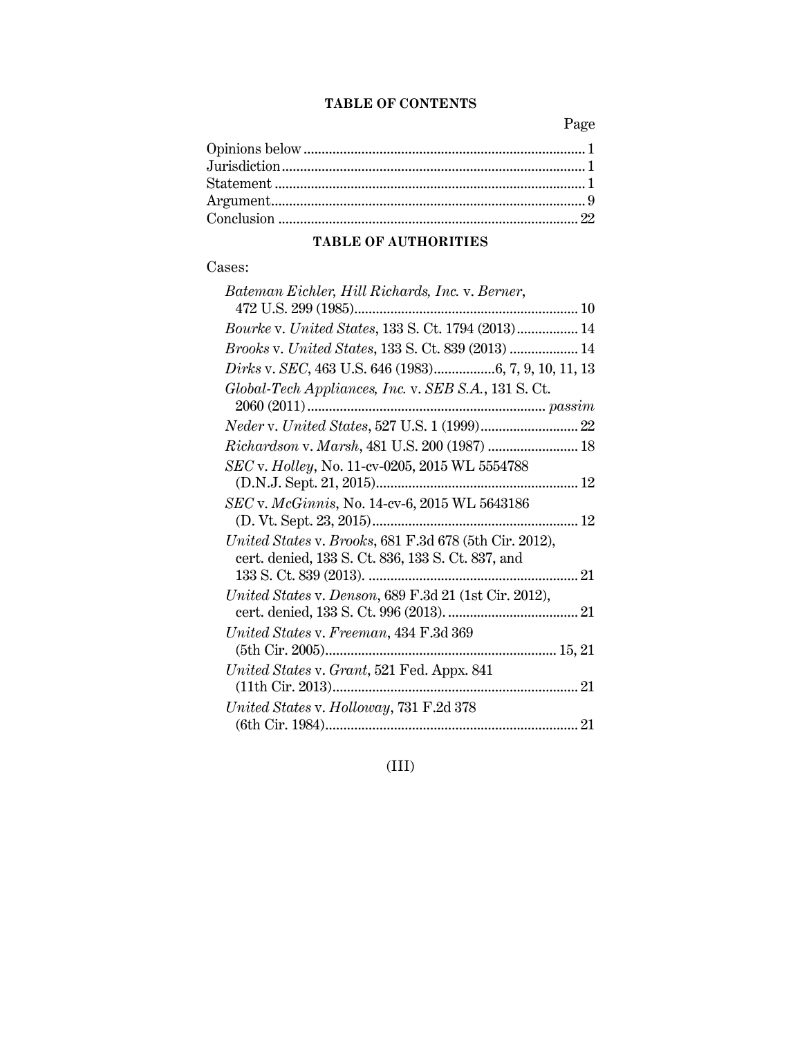### **TABLE OF CONTENTS**

Page

## **TABLE OF AUTHORITIES**

## Cases:

| Bateman Eichler, Hill Richards, Inc. v. Berner,        |
|--------------------------------------------------------|
|                                                        |
| Bourke v. United States, 133 S. Ct. 1794 (2013) 14     |
| Brooks v. United States, 133 S. Ct. 839 (2013)  14     |
|                                                        |
| Global-Tech Appliances, Inc. v. SEB S.A., 131 S.Ct.    |
|                                                        |
|                                                        |
| Richardson v. Marsh, 481 U.S. 200 (1987)  18           |
| SEC v. Holley, No. 11-cv-0205, 2015 WL 5554788         |
|                                                        |
| SEC v. McGinnis, No. 14-cv-6, 2015 WL 5643186          |
|                                                        |
| United States v. Brooks, 681 F.3d 678 (5th Cir. 2012), |
| cert. denied, 133 S. Ct. 836, 133 S. Ct. 837, and      |
|                                                        |
| United States v. Denson, 689 F.3d 21 (1st Cir. 2012),  |
|                                                        |
| United States v. Freeman, 434 F.3d 369                 |
|                                                        |
| United States v. Grant, 521 Fed. Appx. 841             |
|                                                        |
| United States v. Holloway, 731 F.2d 378                |
|                                                        |

(III)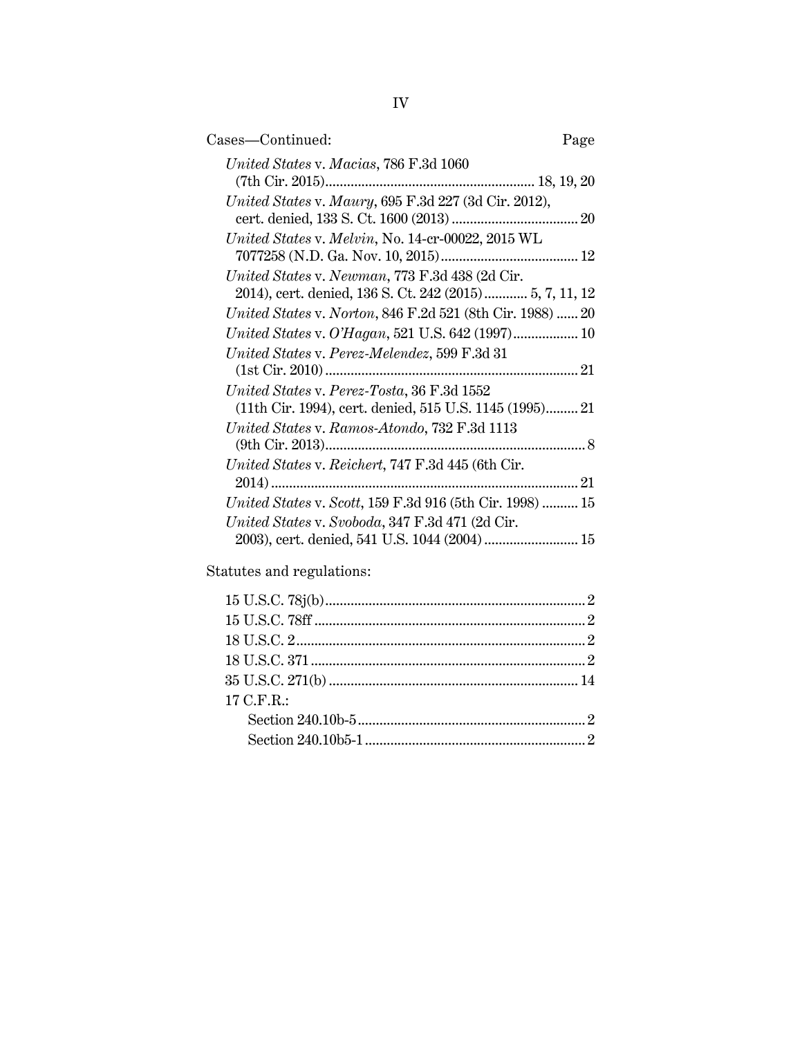| Page                                                      |
|-----------------------------------------------------------|
|                                                           |
|                                                           |
|                                                           |
| 2014), cert. denied, 136 S. Ct. 242 (2015) 5, 7, 11, 12   |
| United States v. Norton, 846 F.2d 521 (8th Cir. 1988)  20 |
| United States v. O'Hagan, 521 U.S. 642 (1997) 10          |
|                                                           |
|                                                           |
| (11th Cir. 1994), cert. denied, 515 U.S. 1145 (1995) 21   |
|                                                           |
|                                                           |
|                                                           |
| United States v. Scott, 159 F.3d 916 (5th Cir. 1998)  15  |
|                                                           |
| 2003), cert. denied, 541 U.S. 1044 (2004)  15             |
|                                                           |

Statutes and regulations:

| ${\bf 15 \; U.S.C.} \; {\bf 78j(b)}. \label{b} \vspace{-0.05in}$ |  |
|------------------------------------------------------------------|--|
|                                                                  |  |
|                                                                  |  |
|                                                                  |  |
|                                                                  |  |
| 17 C.F.R.:                                                       |  |
|                                                                  |  |
|                                                                  |  |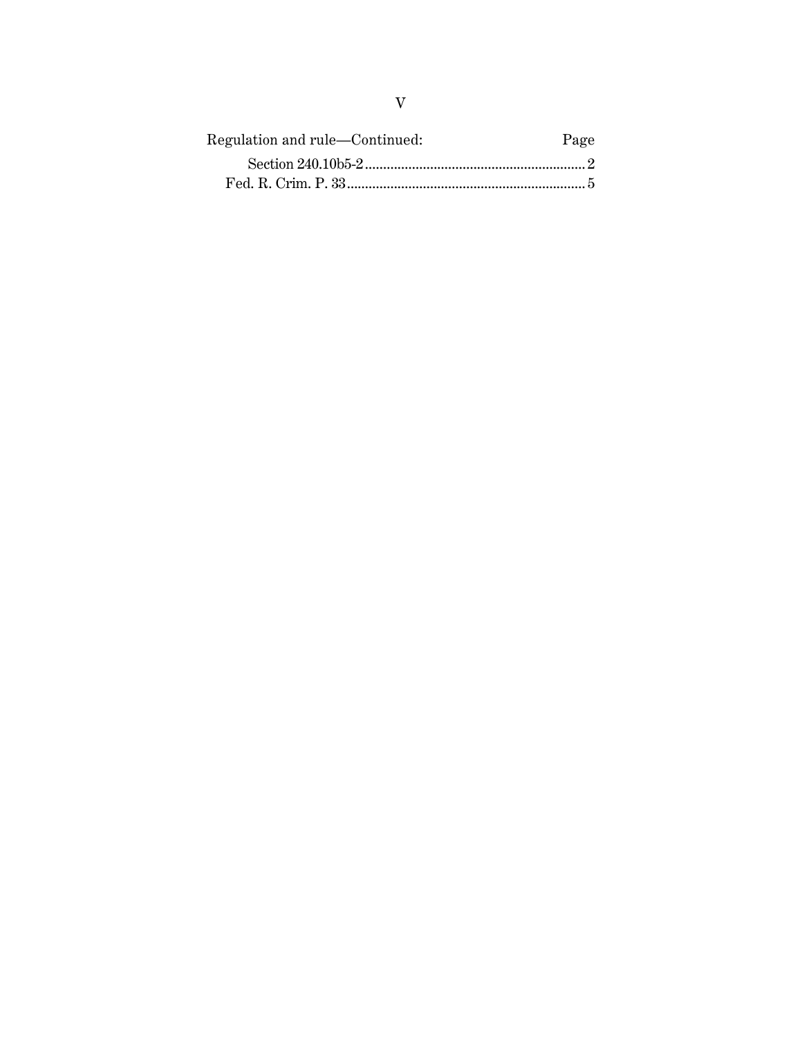| Regulation and rule—Continued: | Page |
|--------------------------------|------|
|                                |      |
|                                |      |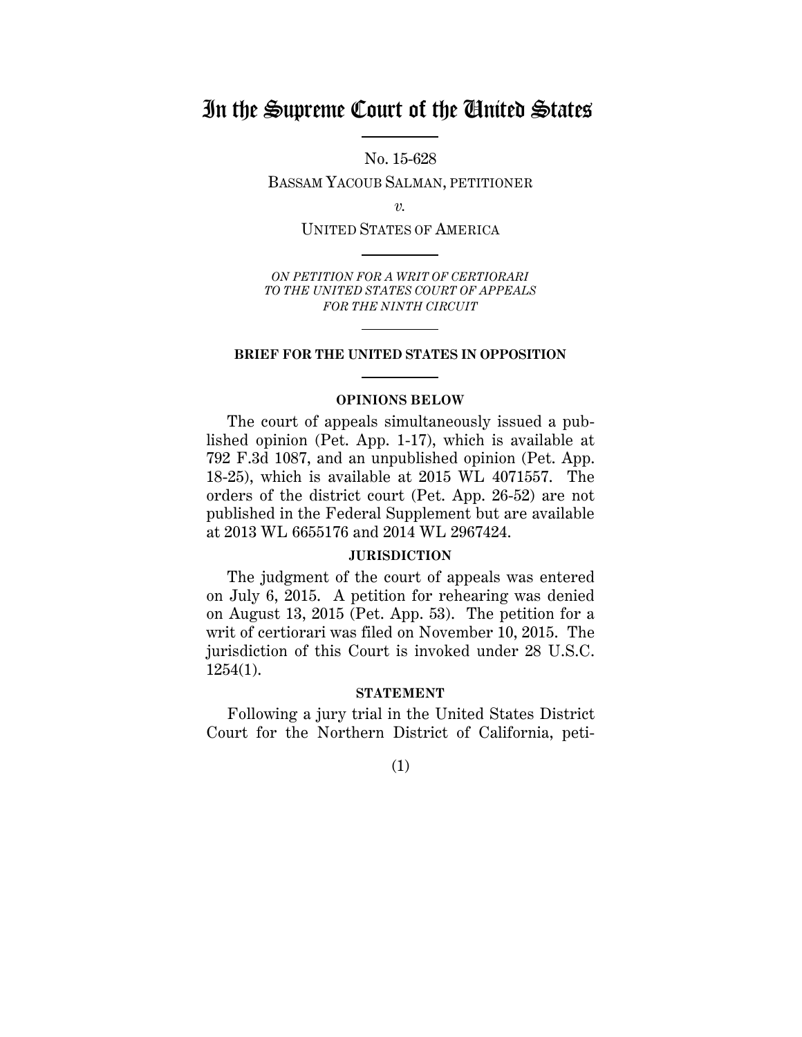## In the Supreme Court of the United States

No. 15-628

BASSAM YACOUB SALMAN, PETITIONER

*v.*

UNITED STATES OF AMERICA

*ON PETITION FOR A WRIT OF CERTIORARI TO THE UNITED STATES COURT OF APPEALS FOR THE NINTH CIRCUIT*

#### **BRIEF FOR THE UNITED STATES IN OPPOSITION**

#### **OPINIONS BELOW**

The court of appeals simultaneously issued a published opinion (Pet. App. 1-17), which is available at 792 F.3d 1087, and an unpublished opinion (Pet. App. 18-25), which is available at 2015 WL 4071557. The orders of the district court (Pet. App. 26-52) are not published in the Federal Supplement but are available at 2013 WL 6655176 and 2014 WL 2967424.

#### **JURISDICTION**

The judgment of the court of appeals was entered on July 6, 2015. A petition for rehearing was denied on August 13, 2015 (Pet. App. 53). The petition for a writ of certiorari was filed on November 10, 2015. The jurisdiction of this Court is invoked under 28 U.S.C. 1254(1).

#### **STATEMENT**

Following a jury trial in the United States District Court for the Northern District of California, peti-

(1)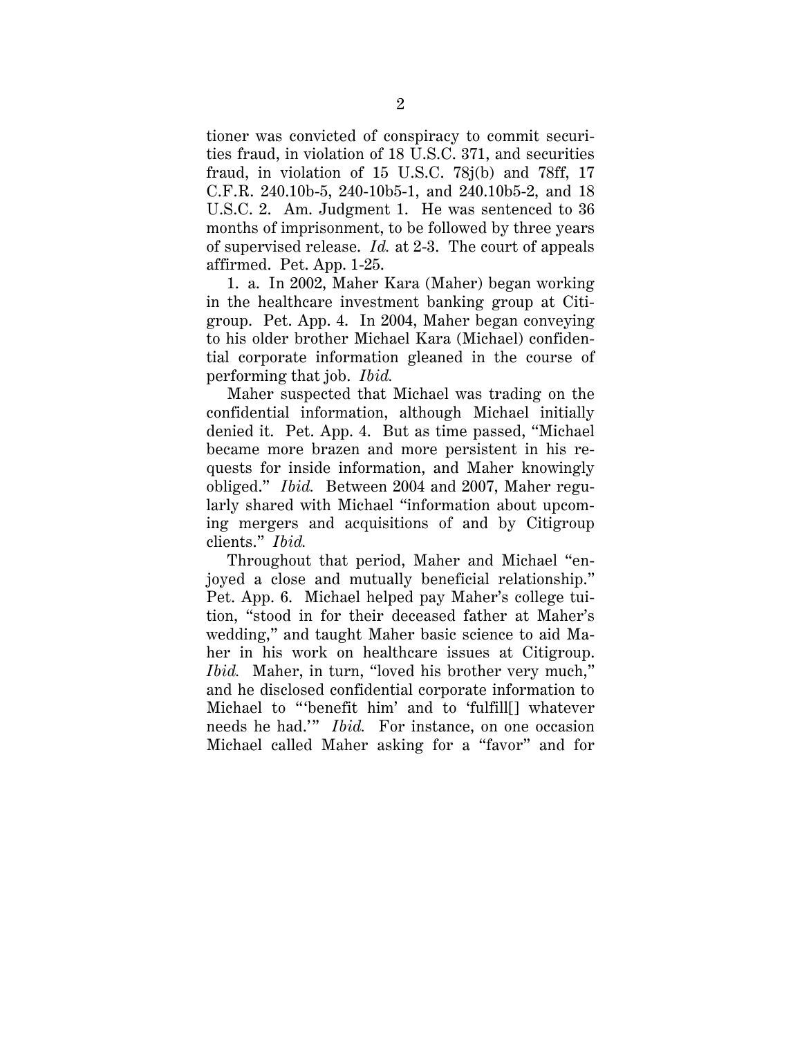tioner was convicted of conspiracy to commit securities fraud, in violation of 18 U.S.C. 371, and securities fraud, in violation of 15 U.S.C. 78j(b) and 78ff, 17 C.F.R. 240.10b-5, 240-10b5-1, and 240.10b5-2, and 18 U.S.C. 2. Am. Judgment 1. He was sentenced to 36 months of imprisonment, to be followed by three years of supervised release. *Id.* at 2-3. The court of appeals affirmed. Pet. App. 1-25.

1. a. In 2002, Maher Kara (Maher) began working in the healthcare investment banking group at Citigroup. Pet. App. 4. In 2004, Maher began conveying to his older brother Michael Kara (Michael) confidential corporate information gleaned in the course of performing that job. *Ibid.* 

Maher suspected that Michael was trading on the confidential information, although Michael initially denied it. Pet. App. 4. But as time passed, "Michael became more brazen and more persistent in his requests for inside information, and Maher knowingly obliged." *Ibid.* Between 2004 and 2007, Maher regularly shared with Michael "information about upcoming mergers and acquisitions of and by Citigroup clients." *Ibid.*

Throughout that period, Maher and Michael "enjoyed a close and mutually beneficial relationship." Pet. App. 6. Michael helped pay Maher's college tuition, "stood in for their deceased father at Maher's wedding," and taught Maher basic science to aid Maher in his work on healthcare issues at Citigroup. *Ibid.* Maher, in turn, "loved his brother very much," and he disclosed confidential corporate information to Michael to "'benefit him' and to 'fulfill[] whatever needs he had.'" *Ibid.* For instance, on one occasion Michael called Maher asking for a "favor" and for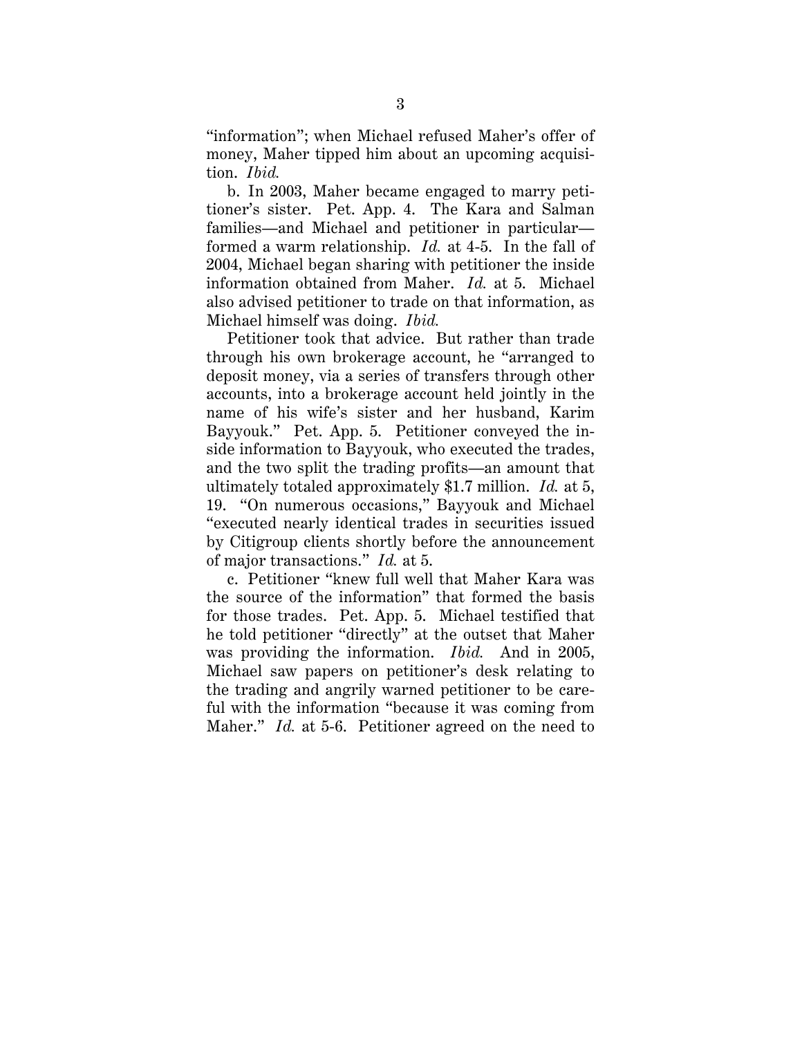"information"; when Michael refused Maher's offer of money, Maher tipped him about an upcoming acquisition. *Ibid.*

b. In 2003, Maher became engaged to marry petitioner's sister. Pet. App. 4. The Kara and Salman families—and Michael and petitioner in particular formed a warm relationship. *Id.* at 4-5. In the fall of 2004, Michael began sharing with petitioner the inside information obtained from Maher. *Id.* at 5. Michael also advised petitioner to trade on that information, as Michael himself was doing. *Ibid.*

Petitioner took that advice. But rather than trade through his own brokerage account, he "arranged to deposit money, via a series of transfers through other accounts, into a brokerage account held jointly in the name of his wife's sister and her husband, Karim Bayyouk." Pet. App. 5. Petitioner conveyed the inside information to Bayyouk, who executed the trades, and the two split the trading profits—an amount that ultimately totaled approximately \$1.7 million. *Id.* at 5, 19. "On numerous occasions," Bayyouk and Michael "executed nearly identical trades in securities issued by Citigroup clients shortly before the announcement of major transactions." *Id.* at 5.

c. Petitioner "knew full well that Maher Kara was the source of the information" that formed the basis for those trades. Pet. App. 5. Michael testified that he told petitioner "directly" at the outset that Maher was providing the information. *Ibid.* And in 2005, Michael saw papers on petitioner's desk relating to the trading and angrily warned petitioner to be careful with the information "because it was coming from Maher." *Id.* at 5-6. Petitioner agreed on the need to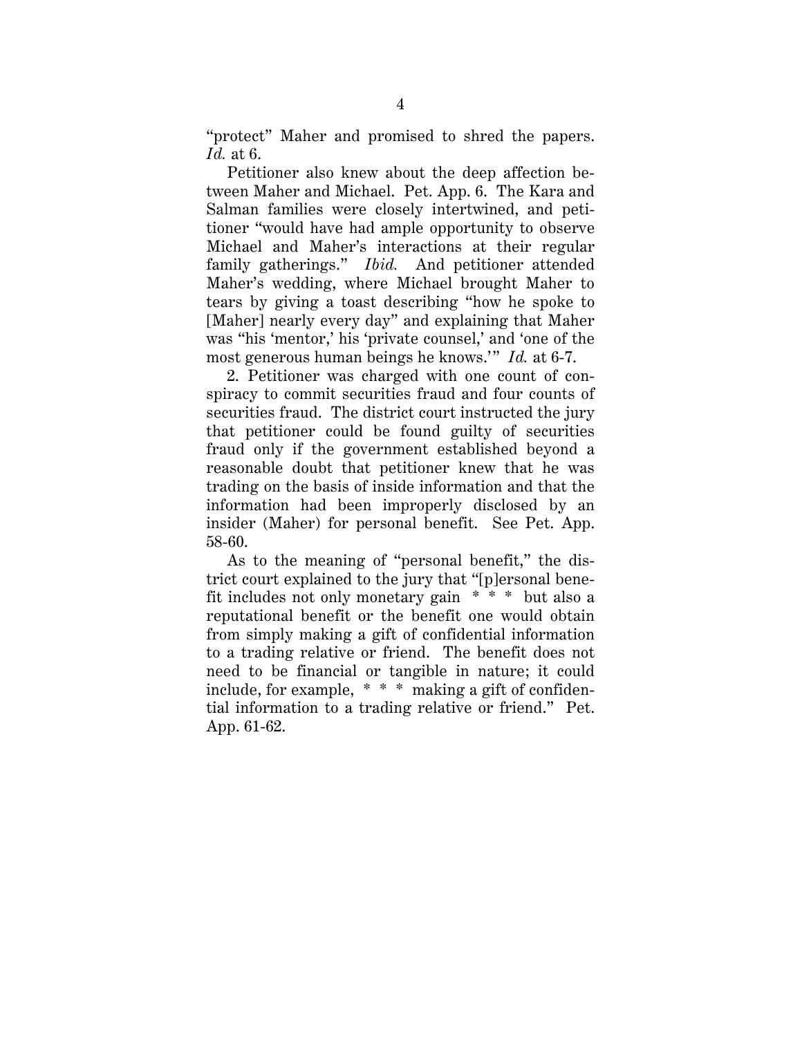"protect" Maher and promised to shred the papers. *Id.* at 6.

Petitioner also knew about the deep affection between Maher and Michael. Pet. App. 6. The Kara and Salman families were closely intertwined, and petitioner "would have had ample opportunity to observe Michael and Maher's interactions at their regular family gatherings." *Ibid.* And petitioner attended Maher's wedding, where Michael brought Maher to tears by giving a toast describing "how he spoke to [Maher] nearly every day" and explaining that Maher was "his 'mentor,' his 'private counsel,' and 'one of the most generous human beings he knows.'" *Id.* at 6-7.

2. Petitioner was charged with one count of conspiracy to commit securities fraud and four counts of securities fraud. The district court instructed the jury that petitioner could be found guilty of securities fraud only if the government established beyond a reasonable doubt that petitioner knew that he was trading on the basis of inside information and that the information had been improperly disclosed by an insider (Maher) for personal benefit. See Pet. App. 58-60.

As to the meaning of "personal benefit," the district court explained to the jury that "[p]ersonal benefit includes not only monetary gain \* \* \* but also a reputational benefit or the benefit one would obtain from simply making a gift of confidential information to a trading relative or friend. The benefit does not need to be financial or tangible in nature; it could include, for example, \* \* \* making a gift of confidential information to a trading relative or friend." Pet. App. 61-62.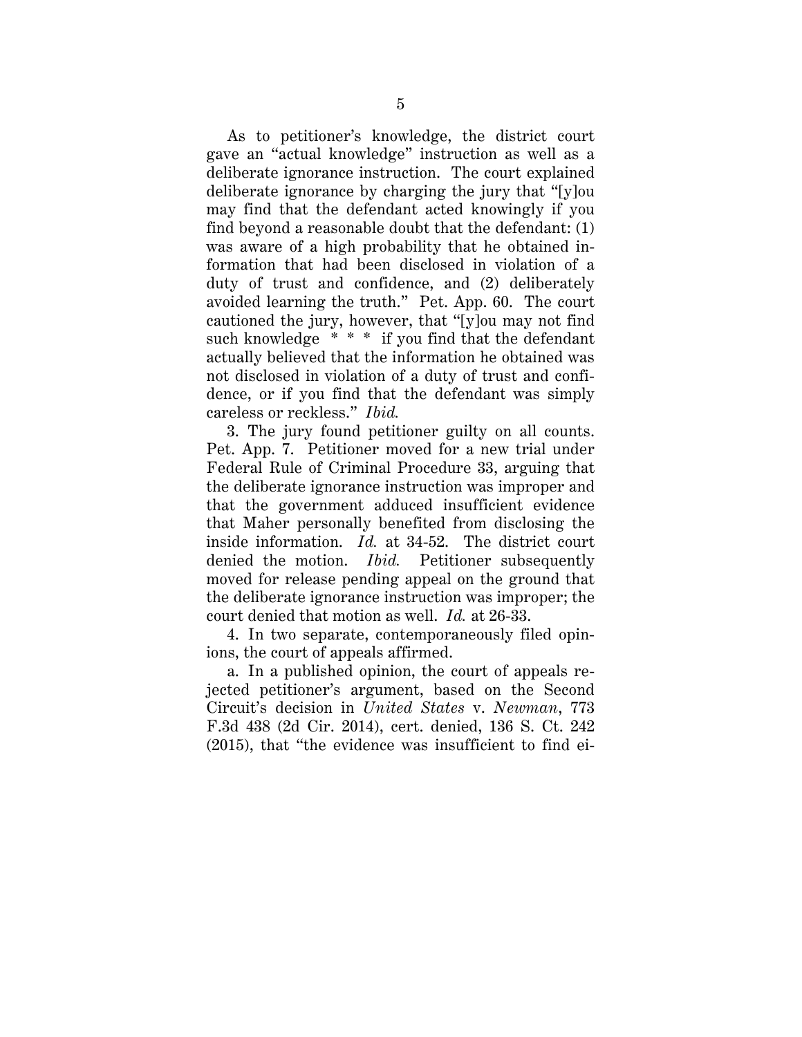As to petitioner's knowledge, the district court gave an "actual knowledge" instruction as well as a deliberate ignorance instruction. The court explained deliberate ignorance by charging the jury that "[y]ou may find that the defendant acted knowingly if you find beyond a reasonable doubt that the defendant: (1) was aware of a high probability that he obtained information that had been disclosed in violation of a duty of trust and confidence, and (2) deliberately avoided learning the truth." Pet. App. 60. The court cautioned the jury, however, that "[y]ou may not find such knowledge \* \* \* if you find that the defendant actually believed that the information he obtained was not disclosed in violation of a duty of trust and confidence, or if you find that the defendant was simply careless or reckless." *Ibid.*

3. The jury found petitioner guilty on all counts. Pet. App. 7. Petitioner moved for a new trial under Federal Rule of Criminal Procedure 33, arguing that the deliberate ignorance instruction was improper and that the government adduced insufficient evidence that Maher personally benefited from disclosing the inside information. *Id.* at 34-52. The district court denied the motion. *Ibid.* Petitioner subsequently moved for release pending appeal on the ground that the deliberate ignorance instruction was improper; the court denied that motion as well. *Id.* at 26-33.

4. In two separate, contemporaneously filed opinions, the court of appeals affirmed.

a. In a published opinion, the court of appeals rejected petitioner's argument, based on the Second Circuit's decision in *United States* v. *Newman*, 773 F.3d 438 (2d Cir. 2014), cert. denied, 136 S. Ct. 242 (2015), that "the evidence was insufficient to find ei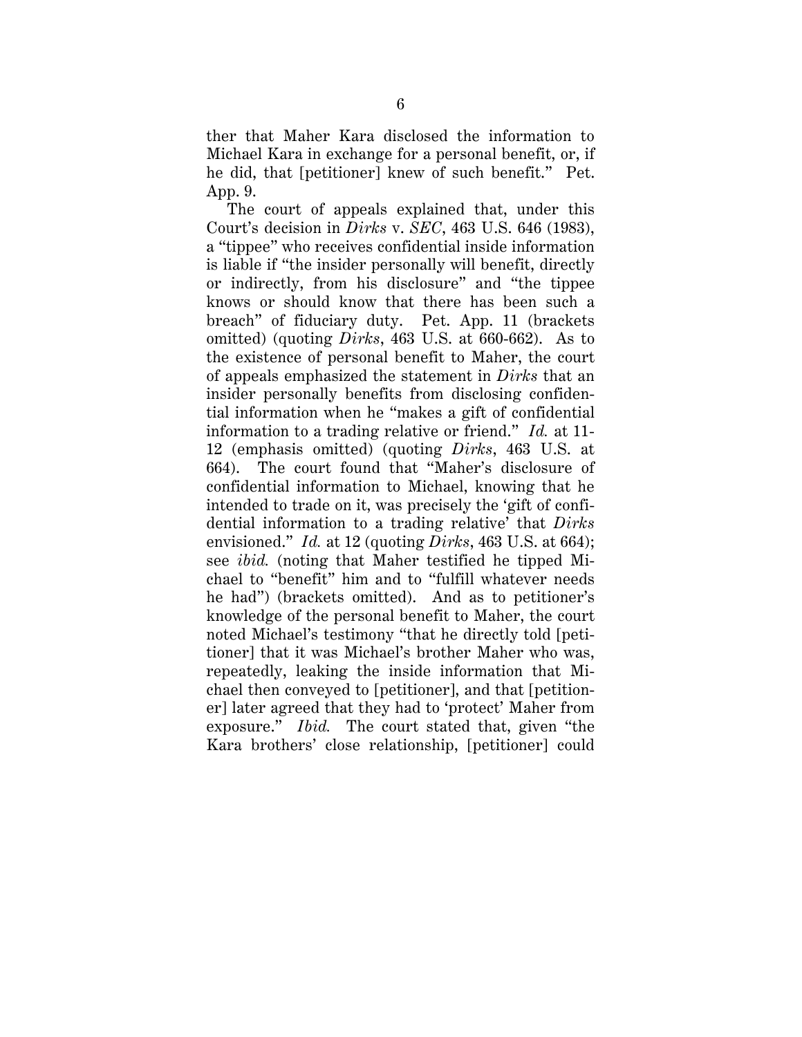ther that Maher Kara disclosed the information to Michael Kara in exchange for a personal benefit, or, if he did, that [petitioner] knew of such benefit." Pet. App. 9.

The court of appeals explained that, under this Court's decision in *Dirks* v. *SEC*, 463 U.S. 646 (1983), a "tippee" who receives confidential inside information is liable if "the insider personally will benefit, directly or indirectly, from his disclosure" and "the tippee knows or should know that there has been such a breach" of fiduciary duty. Pet. App. 11 (brackets omitted) (quoting *Dirks*, 463 U.S. at 660-662). As to the existence of personal benefit to Maher, the court of appeals emphasized the statement in *Dirks* that an insider personally benefits from disclosing confidential information when he "makes a gift of confidential information to a trading relative or friend." *Id.* at 11- 12 (emphasis omitted) (quoting *Dirks*, 463 U.S. at 664). The court found that "Maher's disclosure of confidential information to Michael, knowing that he intended to trade on it, was precisely the 'gift of confidential information to a trading relative' that *Dirks* envisioned." *Id.* at 12 (quoting *Dirks*, 463 U.S. at 664); see *ibid.* (noting that Maher testified he tipped Michael to "benefit" him and to "fulfill whatever needs he had") (brackets omitted). And as to petitioner's knowledge of the personal benefit to Maher, the court noted Michael's testimony "that he directly told [petitioner] that it was Michael's brother Maher who was, repeatedly, leaking the inside information that Michael then conveyed to [petitioner], and that [petitioner] later agreed that they had to 'protect' Maher from exposure." *Ibid.* The court stated that, given "the Kara brothers' close relationship, [petitioner] could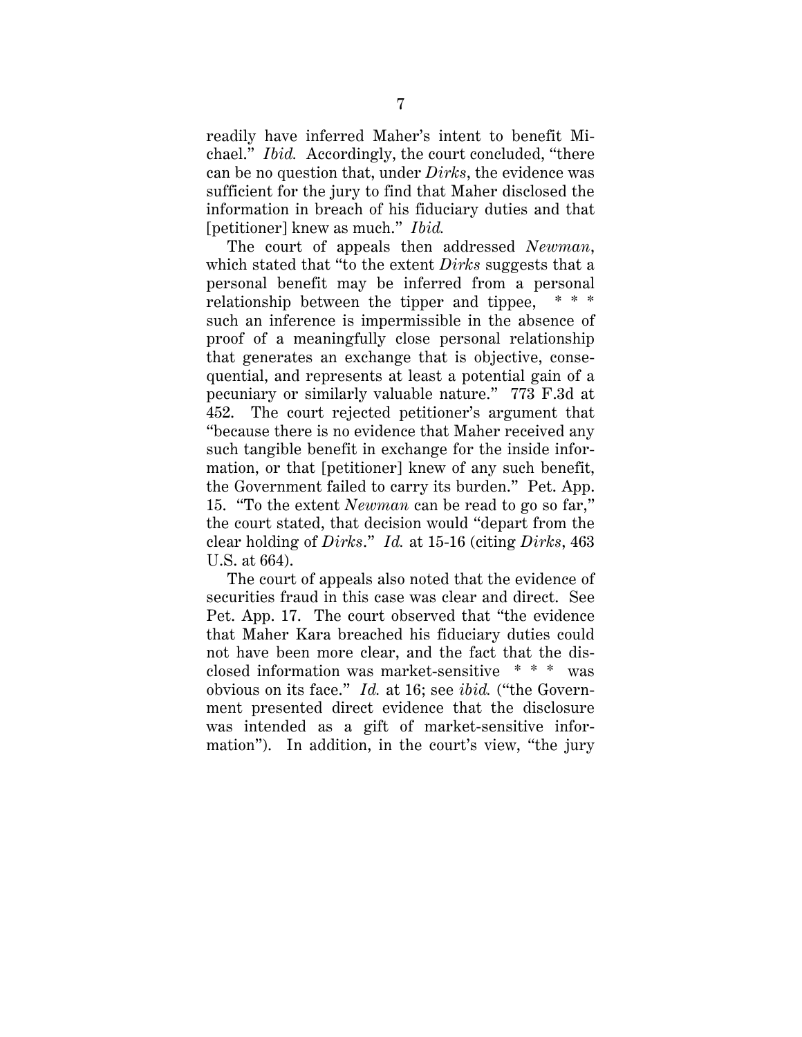readily have inferred Maher's intent to benefit Michael." *Ibid.* Accordingly, the court concluded, "there can be no question that, under *Dirks*, the evidence was sufficient for the jury to find that Maher disclosed the information in breach of his fiduciary duties and that [petitioner] knew as much." *Ibid.*

The court of appeals then addressed *Newman*, which stated that "to the extent *Dirks* suggests that a personal benefit may be inferred from a personal relationship between the tipper and tippee, such an inference is impermissible in the absence of proof of a meaningfully close personal relationship that generates an exchange that is objective, consequential, and represents at least a potential gain of a pecuniary or similarly valuable nature." 773 F.3d at 452. The court rejected petitioner's argument that "because there is no evidence that Maher received any such tangible benefit in exchange for the inside information, or that [petitioner] knew of any such benefit, the Government failed to carry its burden." Pet. App. 15. "To the extent *Newman* can be read to go so far," the court stated, that decision would "depart from the clear holding of *Dirks*." *Id.* at 15-16 (citing *Dirks*, 463 U.S. at 664).

The court of appeals also noted that the evidence of securities fraud in this case was clear and direct. See Pet. App. 17. The court observed that "the evidence that Maher Kara breached his fiduciary duties could not have been more clear, and the fact that the disclosed information was market-sensitive \* \* \* was obvious on its face." *Id.* at 16; see *ibid.* ("the Government presented direct evidence that the disclosure was intended as a gift of market-sensitive information"). In addition, in the court's view, "the jury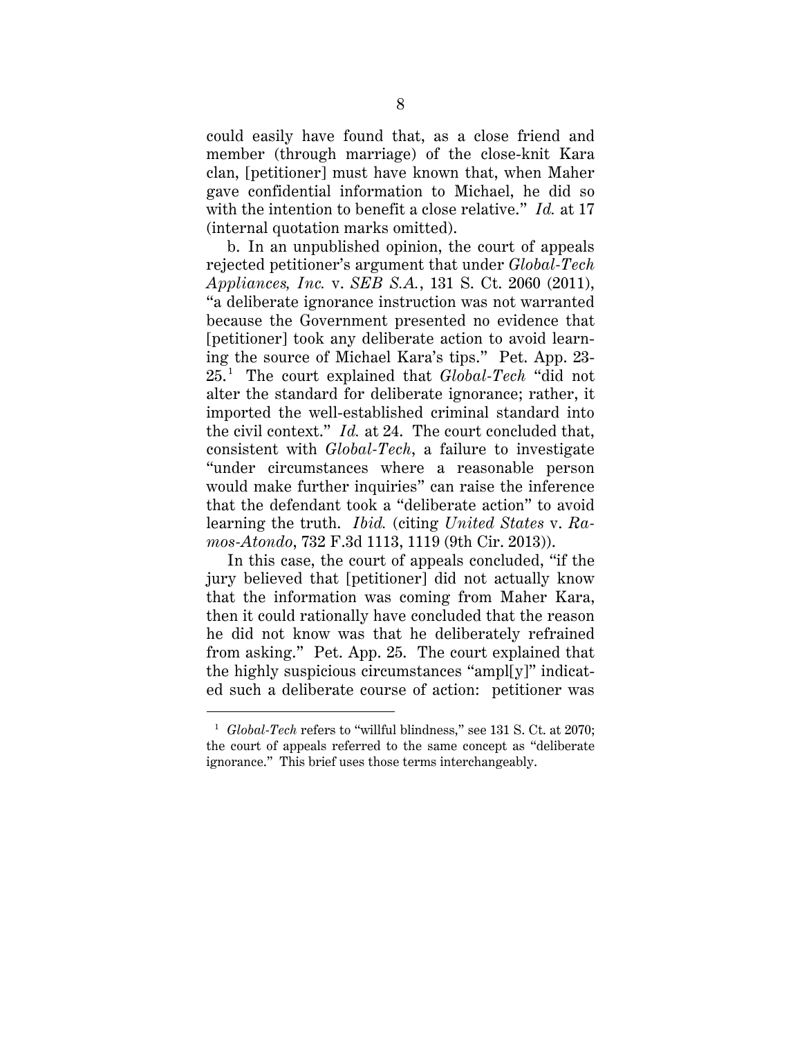could easily have found that, as a close friend and member (through marriage) of the close-knit Kara clan, [petitioner] must have known that, when Maher gave confidential information to Michael, he did so with the intention to benefit a close relative." *Id.* at 17 (internal quotation marks omitted).

b. In an unpublished opinion, the court of appeals rejected petitioner's argument that under *Global-Tech Appliances, Inc.* v. *SEB S.A.*, 131 S. Ct. 2060 (2011), "a deliberate ignorance instruction was not warranted because the Government presented no evidence that [petitioner] took any deliberate action to avoid learning the source of Michael Kara's tips." Pet. App. 23- 25. [1](#page-12-0) The court explained that *Global-Tech* "did not alter the standard for deliberate ignorance; rather, it imported the well-established criminal standard into the civil context." *Id.* at 24. The court concluded that, consistent with *Global-Tech*, a failure to investigate "under circumstances where a reasonable person would make further inquiries" can raise the inference that the defendant took a "deliberate action" to avoid learning the truth. *Ibid.* (citing *United States* v. *Ramos-Atondo*, 732 F.3d 1113, 1119 (9th Cir. 2013)).

In this case, the court of appeals concluded, "if the jury believed that [petitioner] did not actually know that the information was coming from Maher Kara, then it could rationally have concluded that the reason he did not know was that he deliberately refrained from asking." Pet. App. 25. The court explained that the highly suspicious circumstances "ampl[y]" indicated such a deliberate course of action: petitioner was

<span id="page-12-0"></span><sup>&</sup>lt;sup>1</sup> *Global-Tech* refers to "willful blindness," see 131 S. Ct. at 2070; the court of appeals referred to the same concept as "deliberate ignorance." This brief uses those terms interchangeably.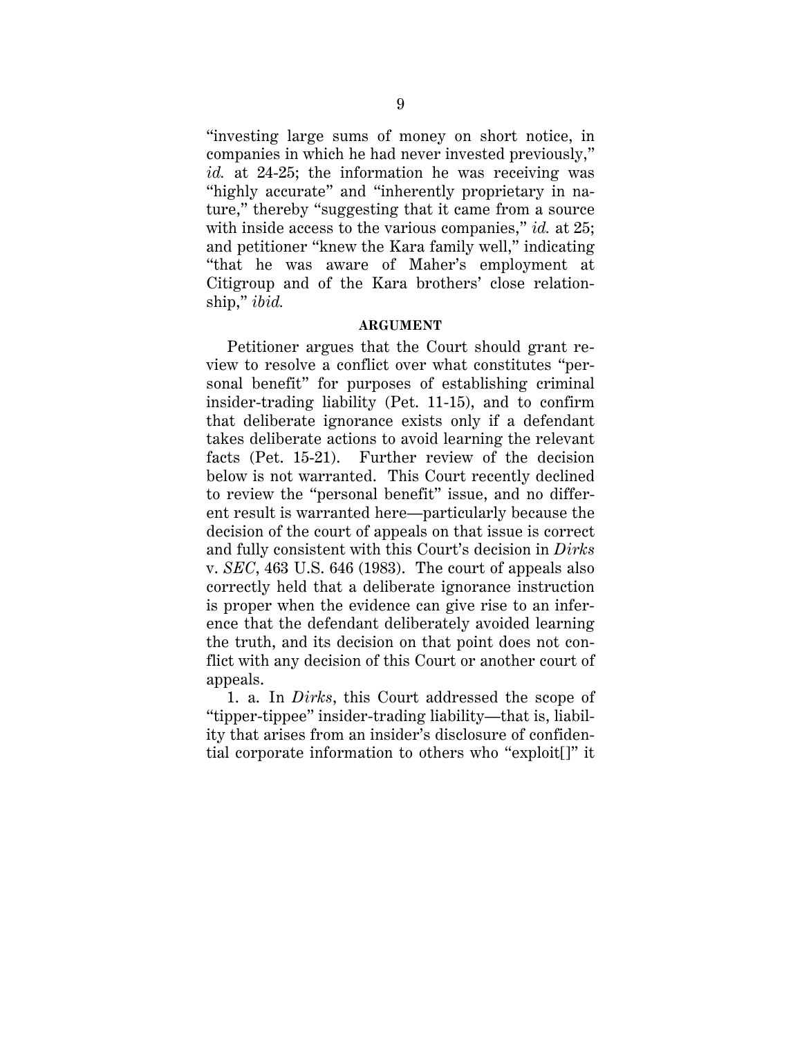"investing large sums of money on short notice, in companies in which he had never invested previously," *id.* at 24-25; the information he was receiving was "highly accurate" and "inherently proprietary in nature," thereby "suggesting that it came from a source with inside access to the various companies," *id.* at 25; and petitioner "knew the Kara family well," indicating "that he was aware of Maher's employment at Citigroup and of the Kara brothers' close relationship," *ibid.*

#### **ARGUMENT**

Petitioner argues that the Court should grant review to resolve a conflict over what constitutes "personal benefit" for purposes of establishing criminal insider-trading liability (Pet. 11-15), and to confirm that deliberate ignorance exists only if a defendant takes deliberate actions to avoid learning the relevant facts (Pet. 15-21). Further review of the decision below is not warranted. This Court recently declined to review the "personal benefit" issue, and no different result is warranted here—particularly because the decision of the court of appeals on that issue is correct and fully consistent with this Court's decision in *Dirks* v. *SEC*, 463 U.S. 646 (1983). The court of appeals also correctly held that a deliberate ignorance instruction is proper when the evidence can give rise to an inference that the defendant deliberately avoided learning the truth, and its decision on that point does not conflict with any decision of this Court or another court of appeals.

1. a. In *Dirks*, this Court addressed the scope of "tipper-tippee" insider-trading liability—that is, liability that arises from an insider's disclosure of confidential corporate information to others who "exploit[]" it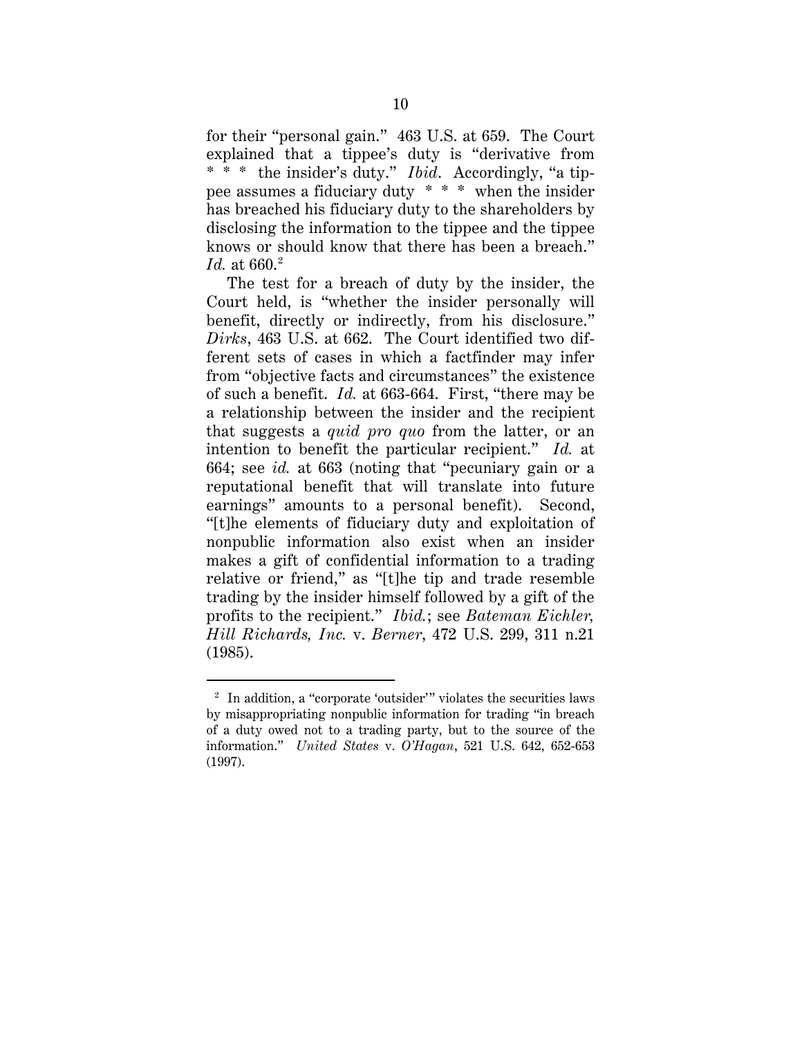for their "personal gain." 463 U.S. at 659. The Court explained that a tippee's duty is "derivative from \* \* \* the insider's duty." *Ibid*. Accordingly, "a tippee assumes a fiduciary duty \* \* \* when the insider has breached his fiduciary duty to the shareholders by disclosing the information to the tippee and the tippee knows or should know that there has been a breach." *Id.* at 660.<sup>[2](#page-14-0)</sup>

The test for a breach of duty by the insider, the Court held, is "whether the insider personally will benefit, directly or indirectly, from his disclosure." *Dirks*, 463 U.S. at 662. The Court identified two different sets of cases in which a factfinder may infer from "objective facts and circumstances" the existence of such a benefit. *Id.* at 663-664. First, "there may be a relationship between the insider and the recipient that suggests a *quid pro quo* from the latter, or an intention to benefit the particular recipient." *Id.* at 664; see *id.* at 663 (noting that "pecuniary gain or a reputational benefit that will translate into future earnings" amounts to a personal benefit). Second, "[t]he elements of fiduciary duty and exploitation of nonpublic information also exist when an insider makes a gift of confidential information to a trading relative or friend," as "[t]he tip and trade resemble trading by the insider himself followed by a gift of the profits to the recipient." *Ibid.*; see *Bateman Eichler, Hill Richards, Inc.* v. *Berner*, 472 U.S. 299, 311 n.21 (1985).

<span id="page-14-0"></span> $^{\rm 2}$  In addition, a "corporate 'outsider'" violates the securities laws by misappropriating nonpublic information for trading "in breach of a duty owed not to a trading party, but to the source of the information." *United States* v. *O'Hagan*, 521 U.S. 642, 652-653 (1997).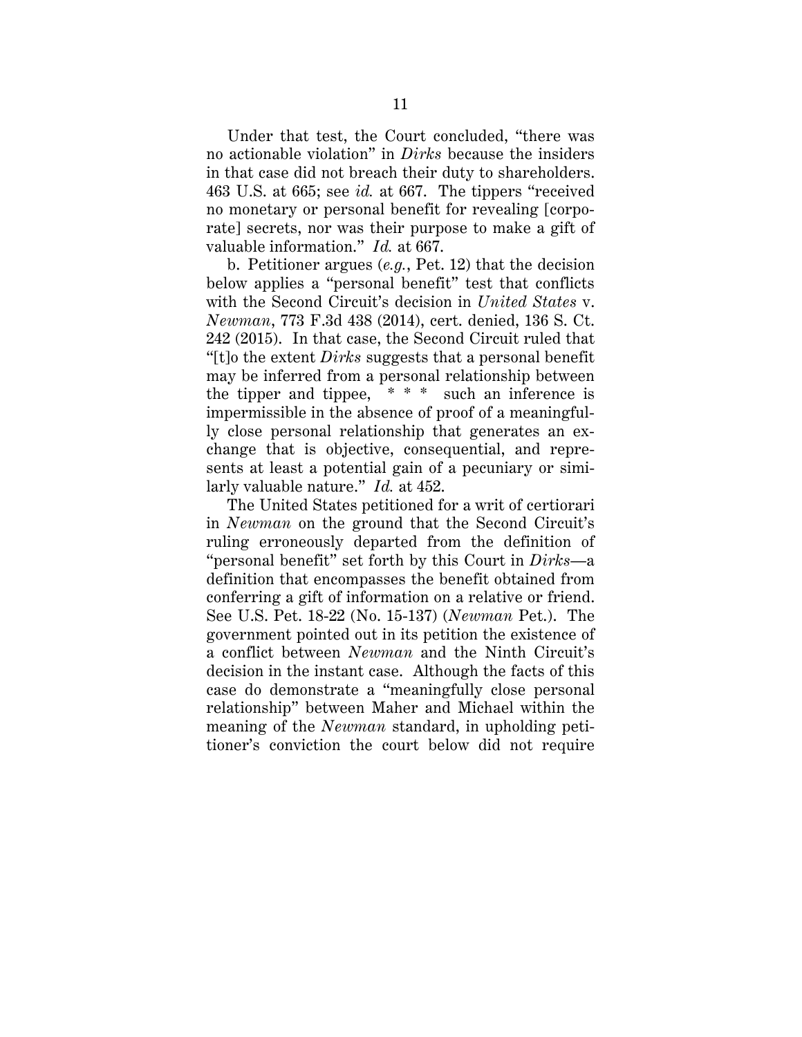Under that test, the Court concluded, "there was no actionable violation" in *Dirks* because the insiders in that case did not breach their duty to shareholders. 463 U.S. at 665; see *id.* at 667. The tippers "received no monetary or personal benefit for revealing [corporate] secrets, nor was their purpose to make a gift of valuable information." *Id.* at 667.

b. Petitioner argues (*e.g.*, Pet. 12) that the decision below applies a "personal benefit" test that conflicts with the Second Circuit's decision in *United States* v. *Newman*, 773 F.3d 438 (2014), cert. denied, 136 S. Ct. 242 (2015). In that case, the Second Circuit ruled that "[t]o the extent *Dirks* suggests that a personal benefit may be inferred from a personal relationship between the tipper and tippee,  $* * *$  such an inference is impermissible in the absence of proof of a meaningfully close personal relationship that generates an exchange that is objective, consequential, and represents at least a potential gain of a pecuniary or similarly valuable nature." *Id.* at 452.

The United States petitioned for a writ of certiorari in *Newman* on the ground that the Second Circuit's ruling erroneously departed from the definition of "personal benefit" set forth by this Court in *Dirks*—a definition that encompasses the benefit obtained from conferring a gift of information on a relative or friend. See U.S. Pet. 18-22 (No. 15-137) (*Newman* Pet.). The government pointed out in its petition the existence of a conflict between *Newman* and the Ninth Circuit's decision in the instant case. Although the facts of this case do demonstrate a "meaningfully close personal relationship" between Maher and Michael within the meaning of the *Newman* standard, in upholding petitioner's conviction the court below did not require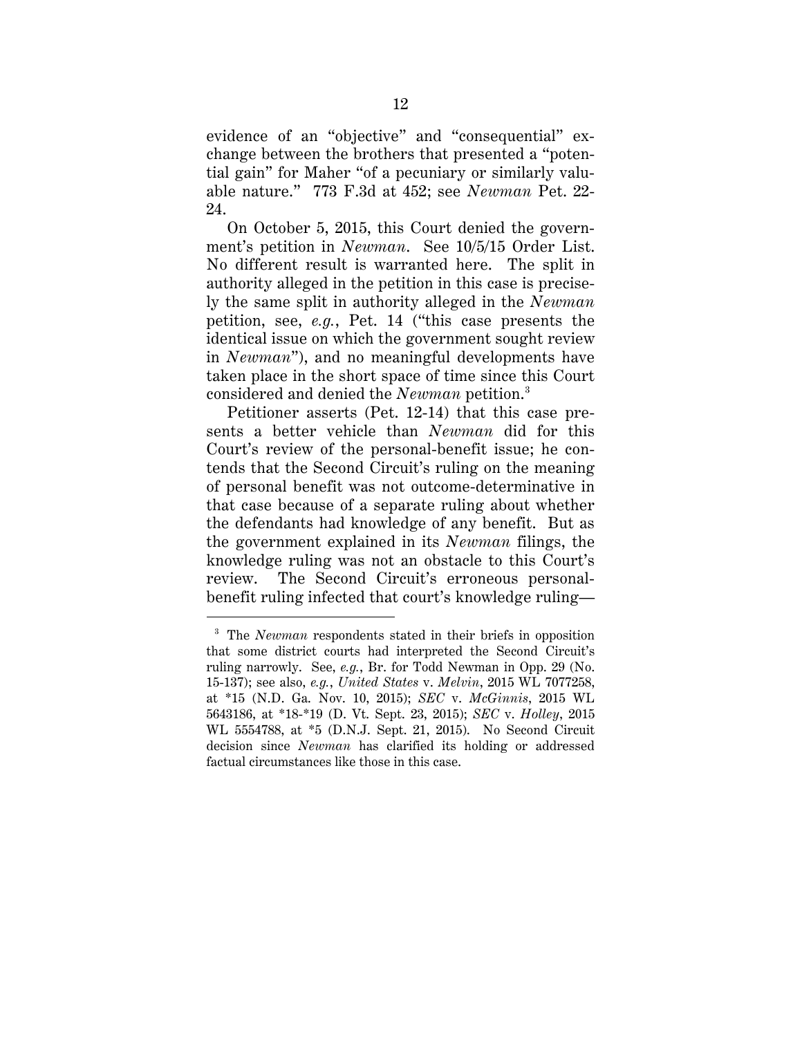evidence of an "objective" and "consequential" exchange between the brothers that presented a "potential gain" for Maher "of a pecuniary or similarly valuable nature." 773 F.3d at 452; see *Newman* Pet. 22- 24.

On October 5, 2015, this Court denied the government's petition in *Newman*. See 10/5/15 Order List. No different result is warranted here. The split in authority alleged in the petition in this case is precisely the same split in authority alleged in the *Newman* petition, see, *e.g.*, Pet. 14 ("this case presents the identical issue on which the government sought review in *Newman*"), and no meaningful developments have taken place in the short space of time since this Court considered and denied the *Newman* petition.[3](#page-16-0)

Petitioner asserts (Pet. 12-14) that this case presents a better vehicle than *Newman* did for this Court's review of the personal-benefit issue; he contends that the Second Circuit's ruling on the meaning of personal benefit was not outcome-determinative in that case because of a separate ruling about whether the defendants had knowledge of any benefit. But as the government explained in its *Newman* filings, the knowledge ruling was not an obstacle to this Court's review. The Second Circuit's erroneous personalbenefit ruling infected that court's knowledge ruling—

<span id="page-16-0"></span> <sup>3</sup> The *Newman* respondents stated in their briefs in opposition that some district courts had interpreted the Second Circuit's ruling narrowly. See, *e.g.*, Br. for Todd Newman in Opp. 29 (No. 15-137); see also, *e.g.*, *United States* v. *Melvin*, 2015 WL 7077258, at \*15 (N.D. Ga. Nov. 10, 2015); *SEC* v. *McGinnis*, 2015 WL 5643186, at \*18-\*19 (D. Vt. Sept. 23, 2015); *SEC* v. *Holley*, 2015 WL 5554788, at \*5 (D.N.J. Sept. 21, 2015). No Second Circuit decision since *Newman* has clarified its holding or addressed factual circumstances like those in this case.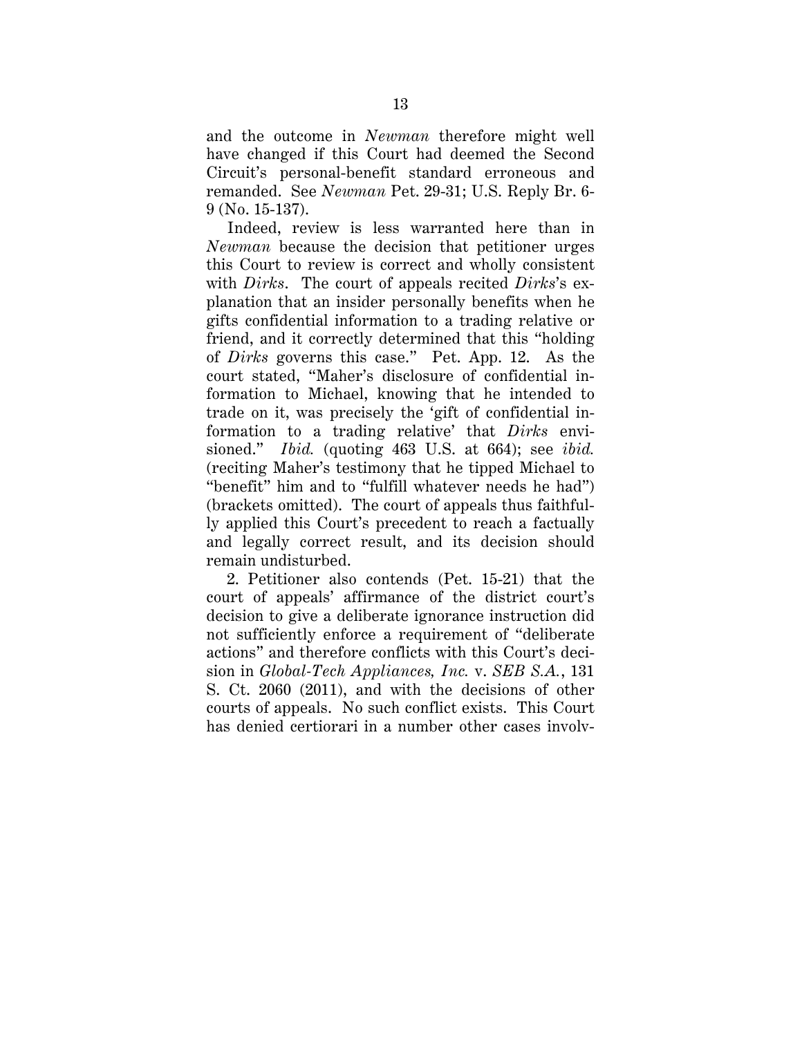and the outcome in *Newman* therefore might well have changed if this Court had deemed the Second Circuit's personal-benefit standard erroneous and remanded. See *Newman* Pet. 29-31; U.S. Reply Br. 6- 9 (No. 15-137).

Indeed, review is less warranted here than in *Newman* because the decision that petitioner urges this Court to review is correct and wholly consistent with *Dirks*. The court of appeals recited *Dirks*'s explanation that an insider personally benefits when he gifts confidential information to a trading relative or friend, and it correctly determined that this "holding of *Dirks* governs this case." Pet. App. 12. As the court stated, "Maher's disclosure of confidential information to Michael, knowing that he intended to trade on it, was precisely the 'gift of confidential information to a trading relative' that *Dirks* envisioned." *Ibid.* (quoting 463 U.S. at 664); see *ibid.* (reciting Maher's testimony that he tipped Michael to "benefit" him and to "fulfill whatever needs he had") (brackets omitted). The court of appeals thus faithfully applied this Court's precedent to reach a factually and legally correct result, and its decision should remain undisturbed.

2. Petitioner also contends (Pet. 15-21) that the court of appeals' affirmance of the district court's decision to give a deliberate ignorance instruction did not sufficiently enforce a requirement of "deliberate actions" and therefore conflicts with this Court's decision in *Global-Tech Appliances, Inc.* v. *SEB S.A.*, 131 S. Ct. 2060 (2011), and with the decisions of other courts of appeals. No such conflict exists. This Court has denied certiorari in a number other cases involv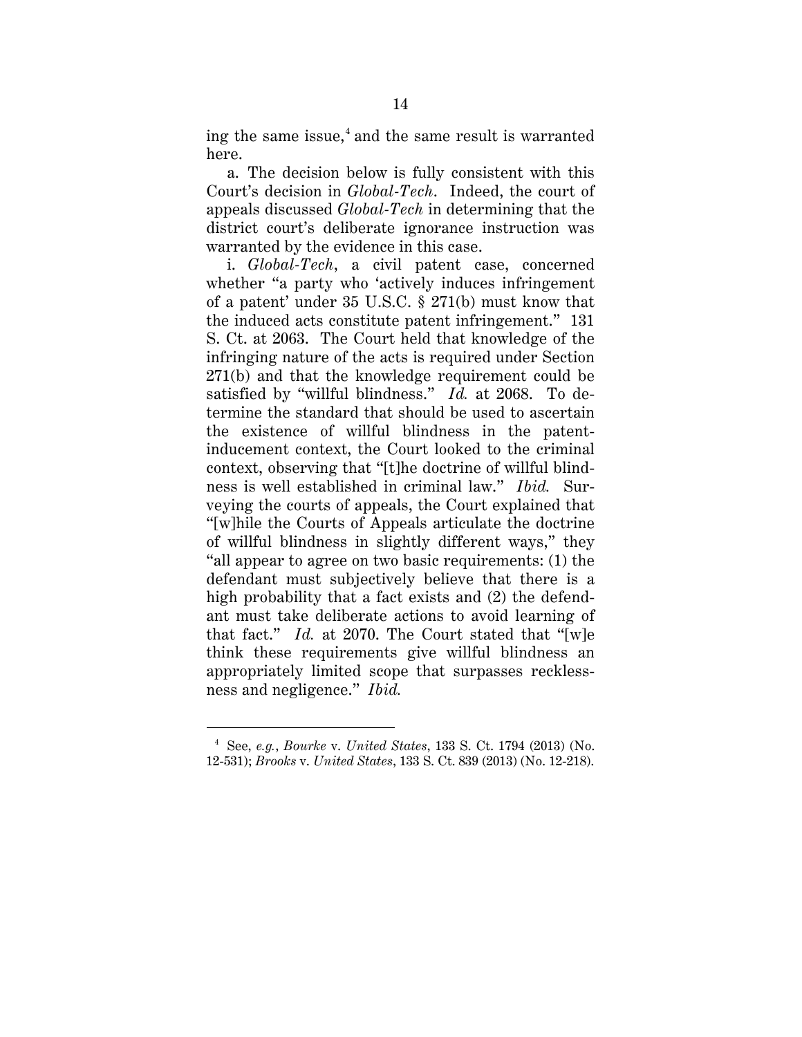ing the same issue,<sup>[4](#page-18-0)</sup> and the same result is warranted here.

a. The decision below is fully consistent with this Court's decision in *Global-Tech*. Indeed, the court of appeals discussed *Global-Tech* in determining that the district court's deliberate ignorance instruction was warranted by the evidence in this case.

i. *Global-Tech*, a civil patent case, concerned whether "a party who 'actively induces infringement of a patent' under 35 U.S.C. § 271(b) must know that the induced acts constitute patent infringement." 131 S. Ct. at 2063. The Court held that knowledge of the infringing nature of the acts is required under Section 271(b) and that the knowledge requirement could be satisfied by "willful blindness." *Id.* at 2068. To determine the standard that should be used to ascertain the existence of willful blindness in the patentinducement context, the Court looked to the criminal context, observing that "[t]he doctrine of willful blindness is well established in criminal law." *Ibid.* Surveying the courts of appeals, the Court explained that "[w]hile the Courts of Appeals articulate the doctrine of willful blindness in slightly different ways," they "all appear to agree on two basic requirements: (1) the defendant must subjectively believe that there is a high probability that a fact exists and (2) the defendant must take deliberate actions to avoid learning of that fact." *Id.* at 2070. The Court stated that "[w]e think these requirements give willful blindness an appropriately limited scope that surpasses recklessness and negligence." *Ibid.*

<span id="page-18-0"></span> <sup>4</sup> See, *e.g.*, *Bourke* v. *United States*, 133 S. Ct. 1794 (2013) (No. 12-531); *Brooks* v. *United States*, 133 S. Ct. 839 (2013) (No. 12-218).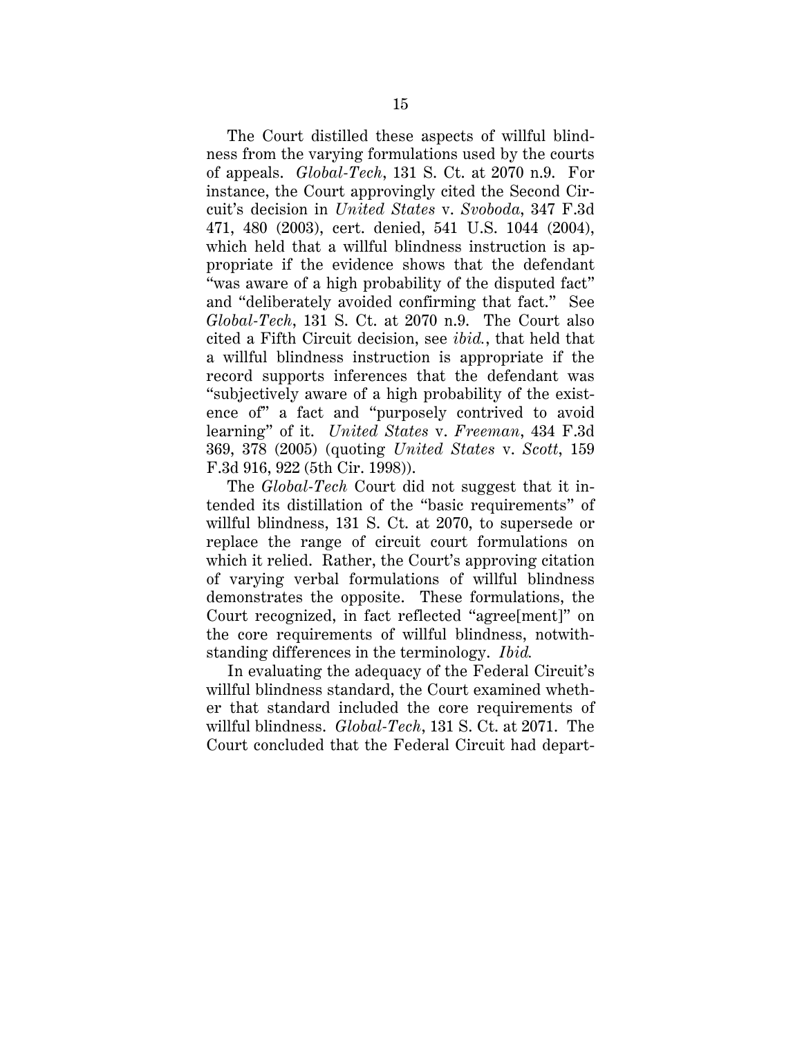The Court distilled these aspects of willful blindness from the varying formulations used by the courts of appeals. *Global-Tech*, 131 S. Ct. at 2070 n.9. For instance, the Court approvingly cited the Second Circuit's decision in *United States* v. *Svoboda*, 347 F.3d 471, 480 (2003), cert. denied, 541 U.S. 1044 (2004), which held that a willful blindness instruction is appropriate if the evidence shows that the defendant "was aware of a high probability of the disputed fact" and "deliberately avoided confirming that fact." See *Global-Tech*, 131 S. Ct. at 2070 n.9. The Court also cited a Fifth Circuit decision, see *ibid.*, that held that a willful blindness instruction is appropriate if the record supports inferences that the defendant was "subjectively aware of a high probability of the existence of" a fact and "purposely contrived to avoid learning" of it. *United States* v. *Freeman*, 434 F.3d 369, 378 (2005) (quoting *United States* v. *Scott*, 159 F.3d 916, 922 (5th Cir. 1998)).

The *Global-Tech* Court did not suggest that it intended its distillation of the "basic requirements" of willful blindness, 131 S. Ct. at 2070, to supersede or replace the range of circuit court formulations on which it relied. Rather, the Court's approving citation of varying verbal formulations of willful blindness demonstrates the opposite. These formulations, the Court recognized, in fact reflected "agree[ment]" on the core requirements of willful blindness, notwithstanding differences in the terminology. *Ibid.*

In evaluating the adequacy of the Federal Circuit's willful blindness standard, the Court examined whether that standard included the core requirements of willful blindness. *Global-Tech*, 131 S. Ct. at 2071. The Court concluded that the Federal Circuit had depart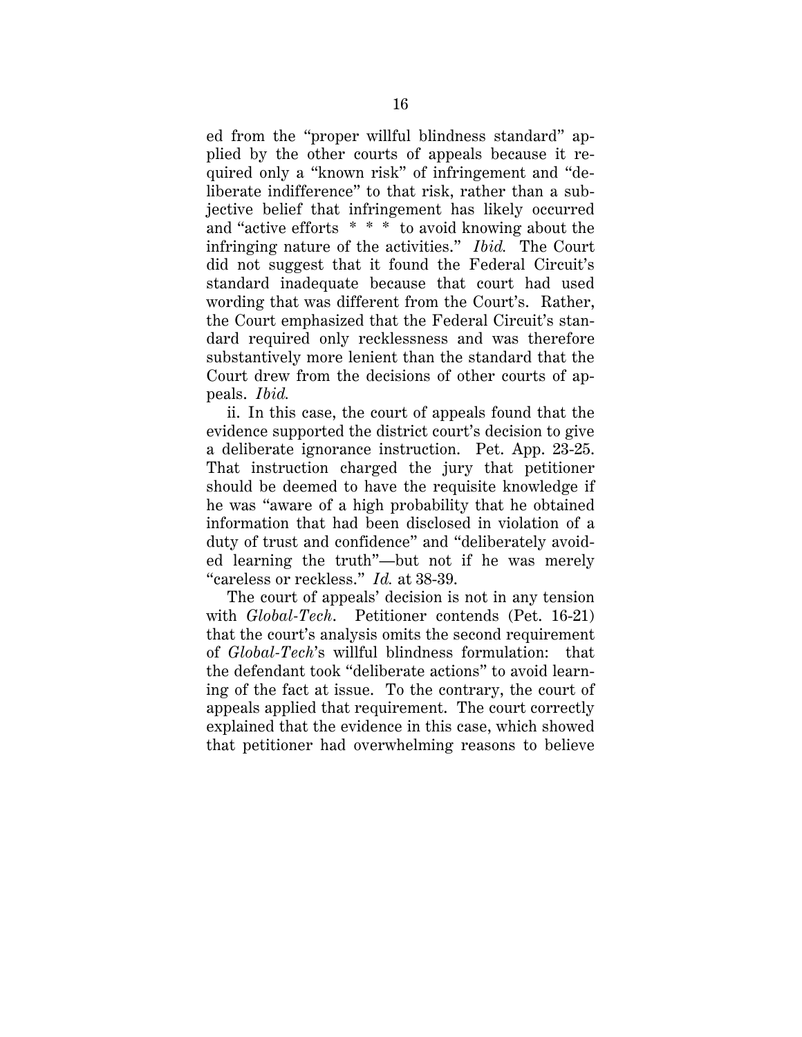ed from the "proper willful blindness standard" applied by the other courts of appeals because it required only a "known risk" of infringement and "deliberate indifference" to that risk, rather than a subjective belief that infringement has likely occurred and "active efforts \* \* \* to avoid knowing about the infringing nature of the activities." *Ibid.* The Court did not suggest that it found the Federal Circuit's standard inadequate because that court had used wording that was different from the Court's. Rather, the Court emphasized that the Federal Circuit's standard required only recklessness and was therefore substantively more lenient than the standard that the Court drew from the decisions of other courts of appeals. *Ibid.*

ii. In this case, the court of appeals found that the evidence supported the district court's decision to give a deliberate ignorance instruction. Pet. App. 23-25. That instruction charged the jury that petitioner should be deemed to have the requisite knowledge if he was "aware of a high probability that he obtained information that had been disclosed in violation of a duty of trust and confidence" and "deliberately avoided learning the truth"—but not if he was merely "careless or reckless." *Id.* at 38-39.

The court of appeals' decision is not in any tension with *Global-Tech*. Petitioner contends (Pet. 16-21) that the court's analysis omits the second requirement of *Global-Tech*'s willful blindness formulation: that the defendant took "deliberate actions" to avoid learning of the fact at issue. To the contrary, the court of appeals applied that requirement. The court correctly explained that the evidence in this case, which showed that petitioner had overwhelming reasons to believe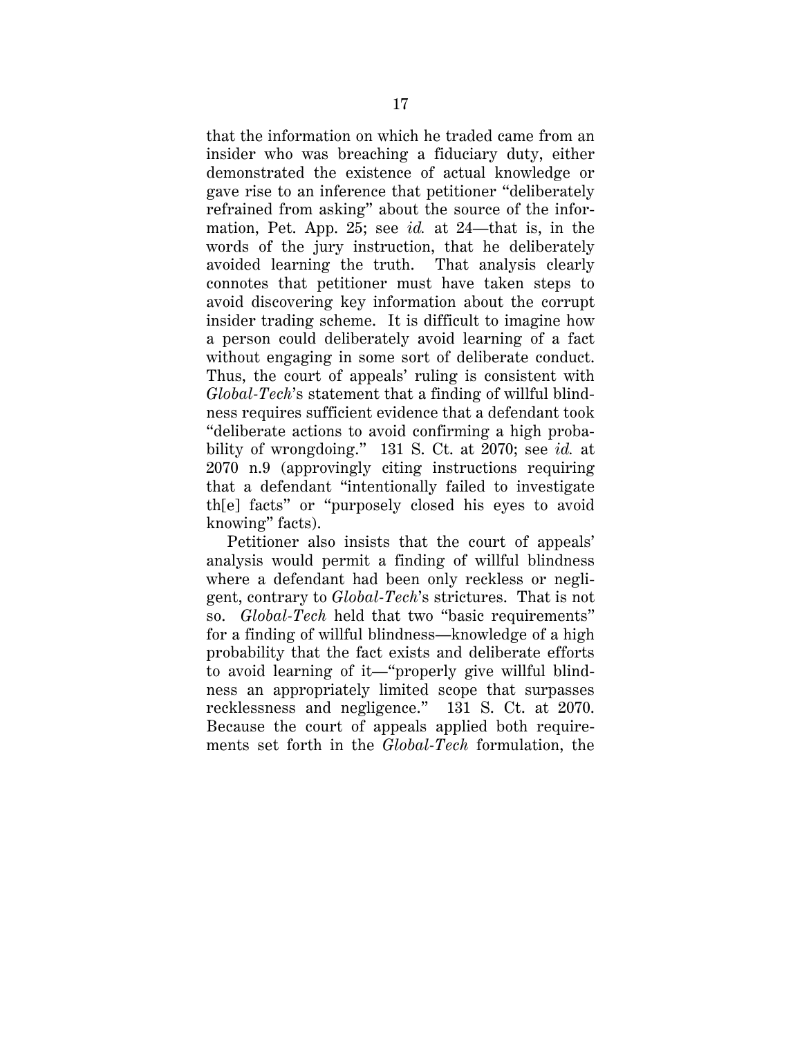that the information on which he traded came from an insider who was breaching a fiduciary duty, either demonstrated the existence of actual knowledge or gave rise to an inference that petitioner "deliberately refrained from asking" about the source of the information, Pet. App. 25; see *id.* at 24—that is, in the words of the jury instruction, that he deliberately avoided learning the truth. That analysis clearly connotes that petitioner must have taken steps to avoid discovering key information about the corrupt insider trading scheme. It is difficult to imagine how a person could deliberately avoid learning of a fact without engaging in some sort of deliberate conduct. Thus, the court of appeals' ruling is consistent with *Global-Tech*'s statement that a finding of willful blindness requires sufficient evidence that a defendant took "deliberate actions to avoid confirming a high probability of wrongdoing." 131 S. Ct. at 2070; see *id.* at 2070 n.9 (approvingly citing instructions requiring that a defendant "intentionally failed to investigate th[e] facts" or "purposely closed his eyes to avoid knowing" facts).

Petitioner also insists that the court of appeals' analysis would permit a finding of willful blindness where a defendant had been only reckless or negligent, contrary to *Global-Tech*'s strictures. That is not so. *Global-Tech* held that two "basic requirements" for a finding of willful blindness—knowledge of a high probability that the fact exists and deliberate efforts to avoid learning of it—"properly give willful blindness an appropriately limited scope that surpasses recklessness and negligence." 131 S. Ct. at 2070. Because the court of appeals applied both requirements set forth in the *Global-Tech* formulation, the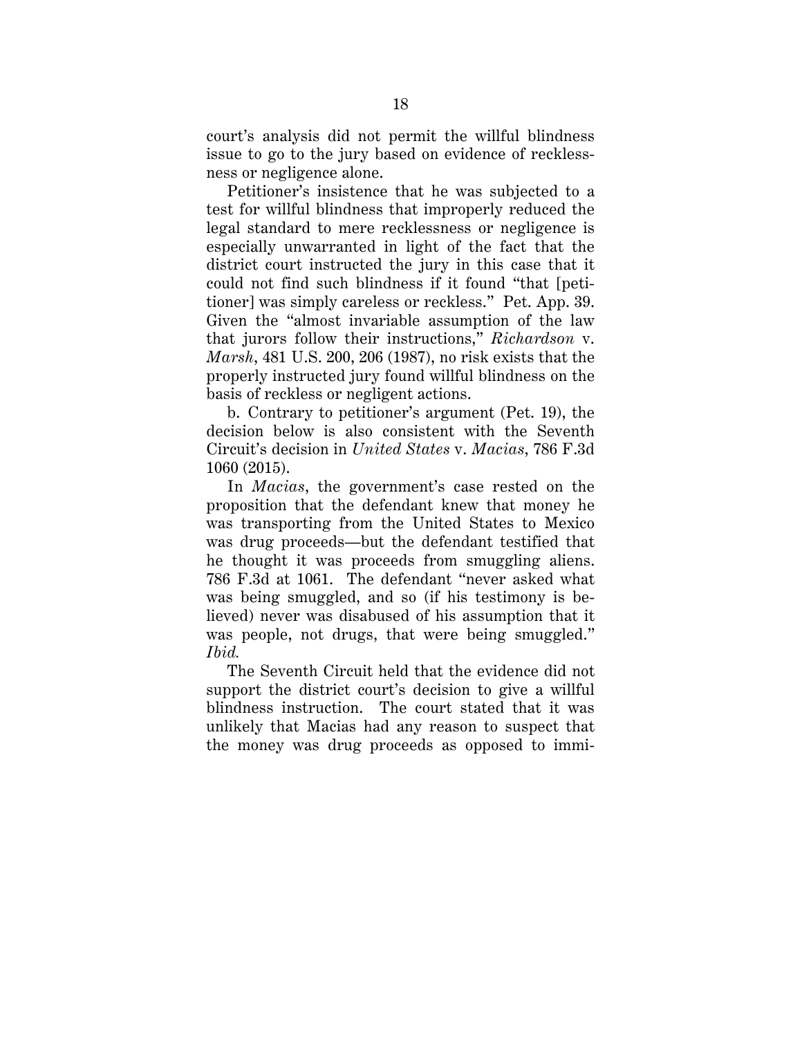court's analysis did not permit the willful blindness issue to go to the jury based on evidence of recklessness or negligence alone.

Petitioner's insistence that he was subjected to a test for willful blindness that improperly reduced the legal standard to mere recklessness or negligence is especially unwarranted in light of the fact that the district court instructed the jury in this case that it could not find such blindness if it found "that [petitioner] was simply careless or reckless." Pet. App. 39. Given the "almost invariable assumption of the law that jurors follow their instructions," *Richardson* v. *Marsh*, 481 U.S. 200, 206 (1987), no risk exists that the properly instructed jury found willful blindness on the basis of reckless or negligent actions.

b. Contrary to petitioner's argument (Pet. 19), the decision below is also consistent with the Seventh Circuit's decision in *United States* v. *Macias*, 786 F.3d 1060 (2015).

In *Macias*, the government's case rested on the proposition that the defendant knew that money he was transporting from the United States to Mexico was drug proceeds—but the defendant testified that he thought it was proceeds from smuggling aliens. 786 F.3d at 1061. The defendant "never asked what was being smuggled, and so (if his testimony is believed) never was disabused of his assumption that it was people, not drugs, that were being smuggled." *Ibid.*

The Seventh Circuit held that the evidence did not support the district court's decision to give a willful blindness instruction. The court stated that it was unlikely that Macias had any reason to suspect that the money was drug proceeds as opposed to immi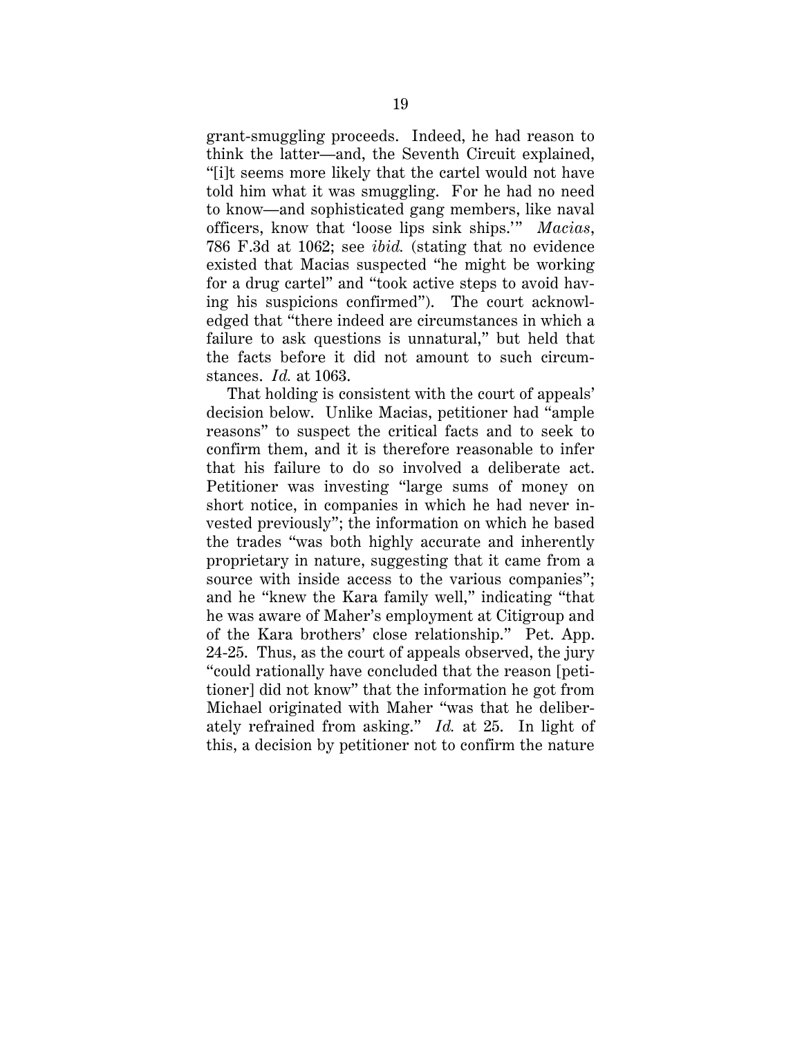grant-smuggling proceeds. Indeed, he had reason to think the latter—and, the Seventh Circuit explained, "[i]t seems more likely that the cartel would not have told him what it was smuggling. For he had no need to know—and sophisticated gang members, like naval officers, know that 'loose lips sink ships.'" *Macias*, 786 F.3d at 1062; see *ibid.* (stating that no evidence existed that Macias suspected "he might be working for a drug cartel" and "took active steps to avoid having his suspicions confirmed"). The court acknowledged that "there indeed are circumstances in which a failure to ask questions is unnatural," but held that the facts before it did not amount to such circumstances. *Id.* at 1063.

That holding is consistent with the court of appeals' decision below. Unlike Macias, petitioner had "ample reasons" to suspect the critical facts and to seek to confirm them, and it is therefore reasonable to infer that his failure to do so involved a deliberate act. Petitioner was investing "large sums of money on short notice, in companies in which he had never invested previously"; the information on which he based the trades "was both highly accurate and inherently proprietary in nature, suggesting that it came from a source with inside access to the various companies"; and he "knew the Kara family well," indicating "that he was aware of Maher's employment at Citigroup and of the Kara brothers' close relationship." Pet. App. 24-25. Thus, as the court of appeals observed, the jury "could rationally have concluded that the reason [petitioner] did not know" that the information he got from Michael originated with Maher "was that he deliberately refrained from asking." *Id.* at 25. In light of this, a decision by petitioner not to confirm the nature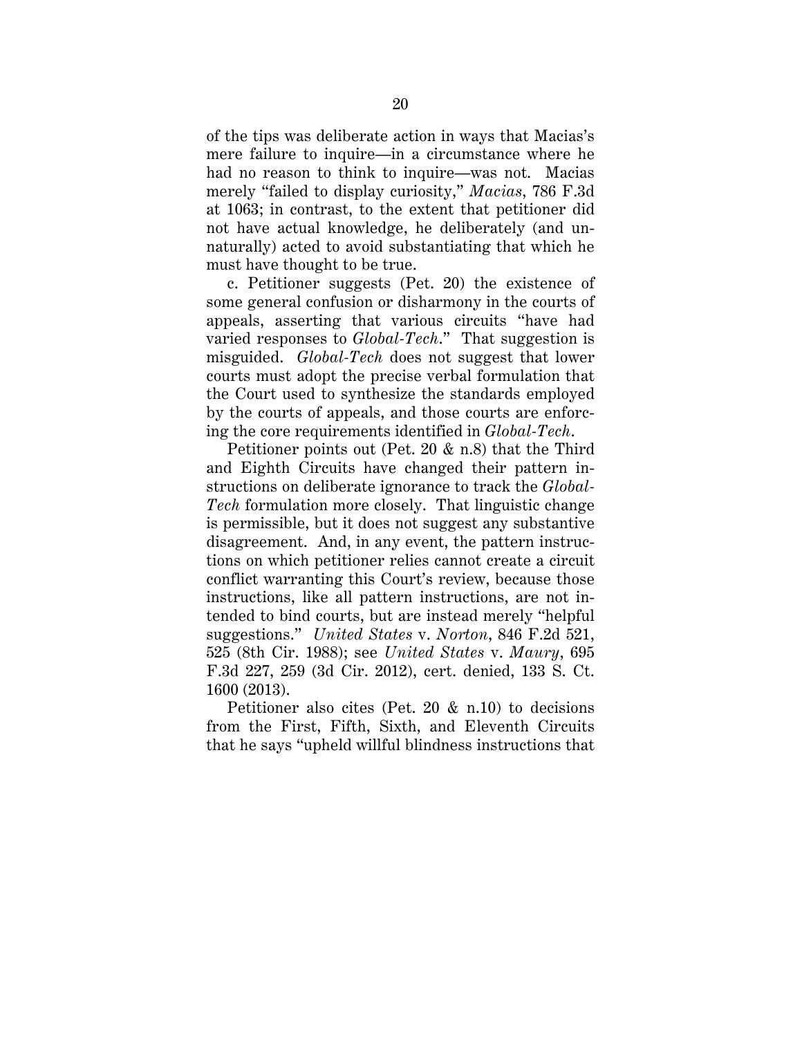of the tips was deliberate action in ways that Macias's mere failure to inquire—in a circumstance where he had no reason to think to inquire—was not. Macias merely "failed to display curiosity," *Macias*, 786 F.3d at 1063; in contrast, to the extent that petitioner did not have actual knowledge, he deliberately (and unnaturally) acted to avoid substantiating that which he must have thought to be true.

c. Petitioner suggests (Pet. 20) the existence of some general confusion or disharmony in the courts of appeals, asserting that various circuits "have had varied responses to *Global-Tech*." That suggestion is misguided. *Global-Tech* does not suggest that lower courts must adopt the precise verbal formulation that the Court used to synthesize the standards employed by the courts of appeals, and those courts are enforcing the core requirements identified in *Global-Tech*.

Petitioner points out (Pet. 20 & n.8) that the Third and Eighth Circuits have changed their pattern instructions on deliberate ignorance to track the *Global-Tech* formulation more closely. That linguistic change is permissible, but it does not suggest any substantive disagreement. And, in any event, the pattern instructions on which petitioner relies cannot create a circuit conflict warranting this Court's review, because those instructions, like all pattern instructions, are not intended to bind courts, but are instead merely "helpful suggestions." *United States* v. *Norton*, 846 F.2d 521, 525 (8th Cir. 1988); see *United States* v. *Maury*, 695 F.3d 227, 259 (3d Cir. 2012), cert. denied, 133 S. Ct. 1600 (2013).

Petitioner also cites (Pet. 20 & n.10) to decisions from the First, Fifth, Sixth, and Eleventh Circuits that he says "upheld willful blindness instructions that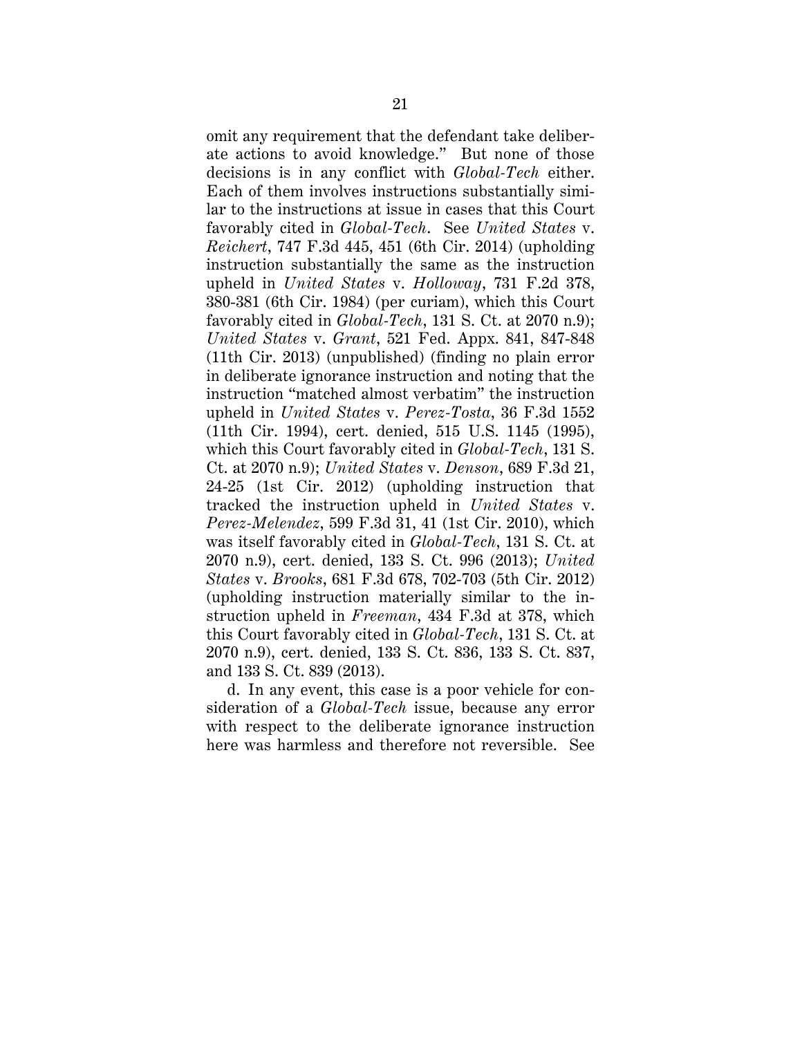omit any requirement that the defendant take deliberate actions to avoid knowledge." But none of those decisions is in any conflict with *Global-Tech* either. Each of them involves instructions substantially similar to the instructions at issue in cases that this Court favorably cited in *Global-Tech*. See *United States* v. *Reichert*, 747 F.3d 445, 451 (6th Cir. 2014) (upholding instruction substantially the same as the instruction upheld in *United States* v. *Holloway*, 731 F.2d 378, 380-381 (6th Cir. 1984) (per curiam), which this Court favorably cited in *Global-Tech*, 131 S. Ct. at 2070 n.9); *United States* v. *Grant*, 521 Fed. Appx. 841, 847-848 (11th Cir. 2013) (unpublished) (finding no plain error in deliberate ignorance instruction and noting that the instruction "matched almost verbatim" the instruction upheld in *United States* v. *Perez-Tosta*, 36 F.3d 1552 (11th Cir. 1994), cert. denied, 515 U.S. 1145 (1995), which this Court favorably cited in *Global-Tech*, 131 S. Ct. at 2070 n.9); *United States* v. *Denson*, 689 F.3d 21, 24-25 (1st Cir. 2012) (upholding instruction that tracked the instruction upheld in *United States* v. *Perez-Melendez*, 599 F.3d 31, 41 (1st Cir. 2010), which was itself favorably cited in *Global-Tech*, 131 S. Ct. at 2070 n.9), cert. denied, 133 S. Ct. 996 (2013); *United States* v. *Brooks*, 681 F.3d 678, 702-703 (5th Cir. 2012) (upholding instruction materially similar to the instruction upheld in *Freeman*, 434 F.3d at 378, which this Court favorably cited in *Global-Tech*, 131 S. Ct. at 2070 n.9), cert. denied, 133 S. Ct. 836, 133 S. Ct. 837, and 133 S. Ct. 839 (2013).

d. In any event, this case is a poor vehicle for consideration of a *Global-Tech* issue, because any error with respect to the deliberate ignorance instruction here was harmless and therefore not reversible. See